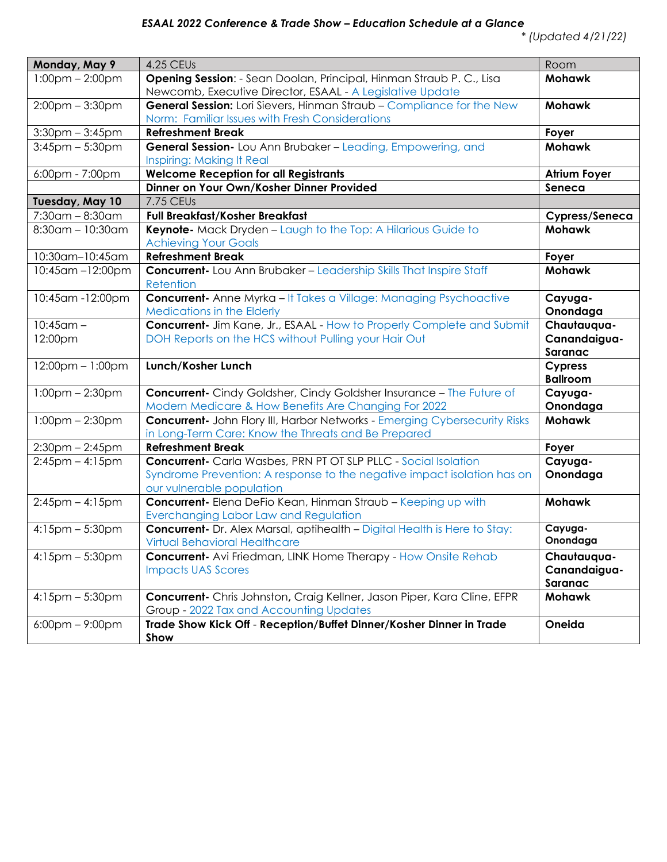## *ESAAL 2022 Conference & Trade Show – Education Schedule at a Glance*

| Monday, May 9                     | <b>4.25 CEUs</b>                                                                                                                                                               | Room                                   |
|-----------------------------------|--------------------------------------------------------------------------------------------------------------------------------------------------------------------------------|----------------------------------------|
| $1:00$ pm – 2:00pm                | Opening Session: - Sean Doolan, Principal, Hinman Straub P. C., Lisa<br>Newcomb, Executive Director, ESAAL - A Legislative Update                                              | <b>Mohawk</b>                          |
| $2:00$ pm $-3:30$ pm              | General Session: Lori Sievers, Hinman Straub - Compliance for the New<br>Norm: Familiar Issues with Fresh Considerations                                                       | <b>Mohawk</b>                          |
| $3:30$ pm – $3:45$ pm             | <b>Refreshment Break</b>                                                                                                                                                       | Foyer                                  |
| $3:45$ pm $-5:30$ pm              | General Session- Lou Ann Brubaker - Leading, Empowering, and<br><b>Inspiring: Making It Real</b>                                                                               | <b>Mohawk</b>                          |
| 6:00pm - 7:00pm                   | <b>Welcome Reception for all Registrants</b>                                                                                                                                   | <b>Atrium Foyer</b>                    |
|                                   | Dinner on Your Own/Kosher Dinner Provided                                                                                                                                      | Seneca                                 |
| Tuesday, May 10                   | 7.75 CEUs                                                                                                                                                                      |                                        |
| $7:30$ am - $8:30$ am             | <b>Full Breakfast/Kosher Breakfast</b>                                                                                                                                         | Cypress/Seneca                         |
| $8:30$ am - 10:30am               | Keynote- Mack Dryden - Laugh to the Top: A Hilarious Guide to<br><b>Achieving Your Goals</b>                                                                                   | <b>Mohawk</b>                          |
| 10:30am-10:45am                   | <b>Refreshment Break</b>                                                                                                                                                       | Foyer                                  |
| 10:45am-12:00pm                   | <b>Concurrent-</b> Lou Ann Brubaker - Leadership Skills That Inspire Staff<br>Retention                                                                                        | <b>Mohawk</b>                          |
| 10:45am -12:00pm                  | <b>Concurrent-</b> Anne Myrka - It Takes a Village: Managing Psychoactive<br><b>Medications in the Elderly</b>                                                                 | Cayuga-<br>Onondaga                    |
| $\frac{10:45}{am}$ -              | <b>Concurrent-</b> Jim Kane, Jr., ESAAL - How to Properly Complete and Submit                                                                                                  | Chautauqua-                            |
| 12:00pm                           | DOH Reports on the HCS without Pulling your Hair Out                                                                                                                           | Canandaigua-<br>Saranac                |
| $12:00pm - 1:00pm$                | Lunch/Kosher Lunch                                                                                                                                                             | <b>Cypress</b><br><b>Ballroom</b>      |
| $1:00$ pm $- 2:30$ pm             | <b>Concurrent-</b> Cindy Goldsher, Cindy Goldsher Insurance - The Future of<br>Modern Medicare & How Benefits Are Changing For 2022                                            | Cayuga-<br>Onondaga                    |
| $1:00$ pm – 2:30pm                | <b>Concurrent-</b> John Flory III, Harbor Networks - Emerging Cybersecurity Risks<br>in Long-Term Care: Know the Threats and Be Prepared                                       | <b>Mohawk</b>                          |
| $2:30$ pm $- 2:45$ pm             | <b>Refreshment Break</b>                                                                                                                                                       | Foyer                                  |
| $2:45$ pm – $4:15$ pm             | <b>Concurrent-</b> Carla Wasbes, PRN PT OT SLP PLLC - Social Isolation<br>Syndrome Prevention: A response to the negative impact isolation has on<br>our vulnerable population | Cayuga-<br>Onondaga                    |
| $2:45$ pm $-4:15$ pm              | <b>Concurrent-</b> Elena DeFio Kean, Hinman Straub - Keeping up with<br>Everchanging Labor Law and Regulation                                                                  | <b>Mohawk</b>                          |
| $4:15$ pm $-5:30$ pm              | <b>Concurrent-</b> Dr. Alex Marsal, aptihealth - Digital Health is Here to Stay:<br>Virtual Behavioral Healthcare                                                              | Cayuga-<br>Onondaga                    |
| $4:15$ pm $-5:30$ pm              | <b>Concurrent-</b> Avi Friedman, LINK Home Therapy - How Onsite Rehab<br><b>Impacts UAS Scores</b>                                                                             | Chautauqua-<br>Canandaigua-<br>Saranac |
| $4:15$ pm $-5:30$ pm              | Concurrent- Chris Johnston, Craig Kellner, Jason Piper, Kara Cline, EFPR<br>Group - 2022 Tax and Accounting Updates                                                            | <b>Mohawk</b>                          |
| $6:00 \text{pm} - 9:00 \text{pm}$ | Trade Show Kick Off - Reception/Buffet Dinner/Kosher Dinner in Trade<br>Show                                                                                                   | Oneida                                 |